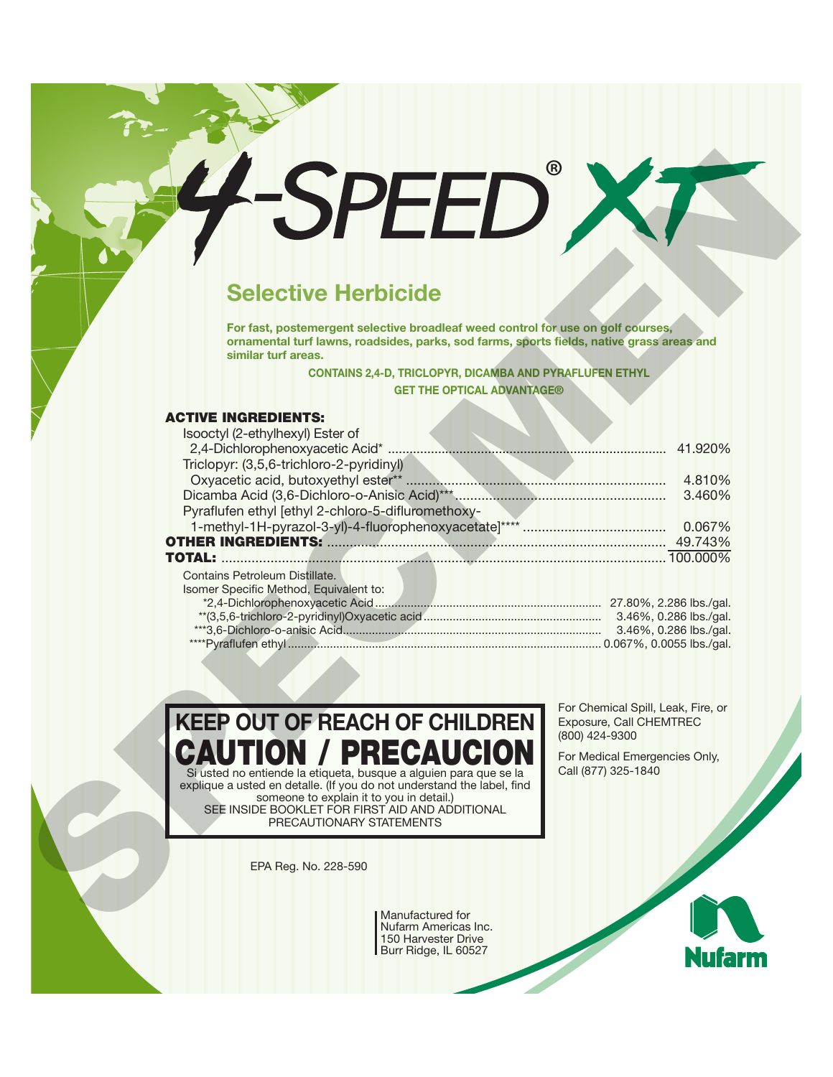# **Selective Herbicide**

#### **ACTIVE INGREDIENTS:**

| <b>SPEED</b>                                                                                                                                                                                         |                                                      |
|------------------------------------------------------------------------------------------------------------------------------------------------------------------------------------------------------|------------------------------------------------------|
|                                                                                                                                                                                                      |                                                      |
| <b>Selective Herbicide</b>                                                                                                                                                                           |                                                      |
| For fast, postemergent selective broadleaf weed control for use on golf courses,<br>ornamental turf lawns, roadsides, parks, sod farms, sports fields, native grass areas and<br>similar turf areas. |                                                      |
| <b>CONTAINS 2,4-D, TRICLOPYR, DICAMBA AND PYRAFLUFEN ETHYL</b>                                                                                                                                       |                                                      |
| <b>GET THE OPTICAL ADVANTAGE®</b>                                                                                                                                                                    |                                                      |
|                                                                                                                                                                                                      |                                                      |
| <b>ACTIVE INGREDIENTS:</b>                                                                                                                                                                           |                                                      |
| Isooctyl (2-ethylhexyl) Ester of                                                                                                                                                                     |                                                      |
| Triclopyr: (3,5,6-trichloro-2-pyridinyl)                                                                                                                                                             |                                                      |
|                                                                                                                                                                                                      |                                                      |
|                                                                                                                                                                                                      | 3.460%                                               |
| Pyraflufen ethyl [ethyl 2-chloro-5-difluromethoxy-                                                                                                                                                   |                                                      |
|                                                                                                                                                                                                      |                                                      |
|                                                                                                                                                                                                      |                                                      |
|                                                                                                                                                                                                      |                                                      |
| Contains Petroleum Distillate.                                                                                                                                                                       |                                                      |
| Isomer Specific Method, Equivalent to:                                                                                                                                                               |                                                      |
|                                                                                                                                                                                                      |                                                      |
|                                                                                                                                                                                                      |                                                      |
|                                                                                                                                                                                                      |                                                      |
|                                                                                                                                                                                                      |                                                      |
|                                                                                                                                                                                                      |                                                      |
|                                                                                                                                                                                                      | For Chemical Spill, Leak, Fire, or                   |
| <b>KEEP OUT OF REACH OF CHILDREN</b>                                                                                                                                                                 | Exposure, Call CHEMTREC<br>(800) 424-9300            |
| <b>CAUTION / PRECAUCION</b><br>Si usted no entiende la etiqueta, busque a alguien para que se la                                                                                                     | For Medical Emergencies Only,<br>Call (877) 325-1840 |
| explique a usted en detaile. (If you do not understand the label, find                                                                                                                               |                                                      |
| someone to explain it to you in detail.)<br>SEE INSIDE BOOKLET FOR FIRST AID AND ADDITIONAL                                                                                                          |                                                      |
| PRECAUTIONARY STATEMENTS                                                                                                                                                                             |                                                      |
|                                                                                                                                                                                                      |                                                      |
| EPA Reg. No. 228-590                                                                                                                                                                                 |                                                      |
|                                                                                                                                                                                                      |                                                      |
| Manufactured for<br>Nufarm Americas Inc.                                                                                                                                                             |                                                      |

Manufactured for Nufarm Americas Inc. 150 Harvester Drive Burr Ridge, IL 60527

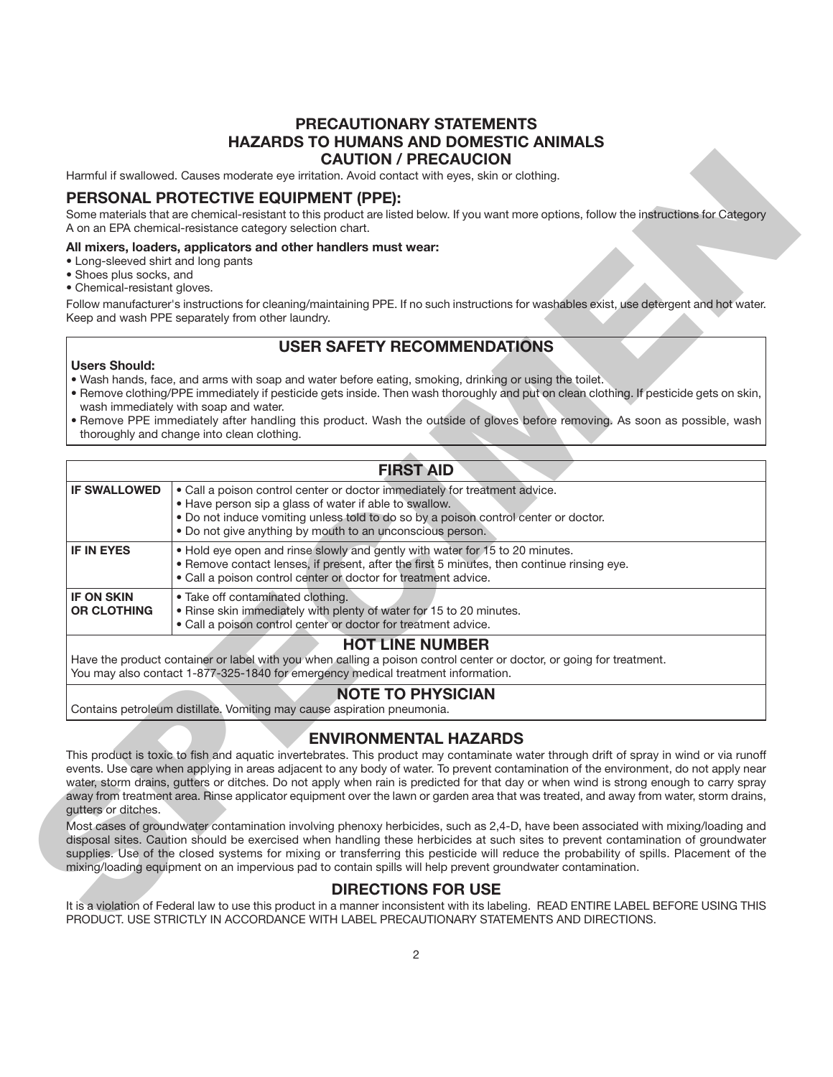## **PRECAUTIONARY STATEMENTS HAZARDS TO HUMANS AND DOMESTIC ANIMALS CAUTION / PRECAUCION**

#### **PERSONAL PROTECTIVE EQUIPMENT (PPE):**

#### **All mixers, loaders, applicators and other handlers must wear:**

- Long-sleeved shirt and long pants
- Shoes plus socks, and
- Chemical-resistant gloves.

# **USER SAFETY RECOMMENDATIONS**

#### **Users Should:**

- Wash hands, face, and arms with soap and water before eating, smoking, drinking or using the toilet.
- Remove clothing/PPE immediately if pesticide gets inside. Then wash thoroughly and put on clean clothing. If pesticide gets on skin, wash immediately with soap and water.
- Remove PPE immediately after handling this product. Wash the outside of gloves before removing. As soon as possible, wash thoroughly and change into clean clothing.

|                                                                                                | Harmful if swallowed. Causes moderate eye irritation. Avoid contact with eyes, skin or clothing.                                                                                                                                                                                                                                                                                                                                                                                                                                                                                                                                                                                                                                                                                                                                                                                                                                                                                                                                                                                                                                        |
|------------------------------------------------------------------------------------------------|-----------------------------------------------------------------------------------------------------------------------------------------------------------------------------------------------------------------------------------------------------------------------------------------------------------------------------------------------------------------------------------------------------------------------------------------------------------------------------------------------------------------------------------------------------------------------------------------------------------------------------------------------------------------------------------------------------------------------------------------------------------------------------------------------------------------------------------------------------------------------------------------------------------------------------------------------------------------------------------------------------------------------------------------------------------------------------------------------------------------------------------------|
|                                                                                                | PERSONAL PROTECTIVE EQUIPMENT (PPE):                                                                                                                                                                                                                                                                                                                                                                                                                                                                                                                                                                                                                                                                                                                                                                                                                                                                                                                                                                                                                                                                                                    |
|                                                                                                | Some materials that are chemical-resistant to this product are listed below. If you want more options, follow the instructions for Category<br>A on an EPA chemical-resistance category selection chart.                                                                                                                                                                                                                                                                                                                                                                                                                                                                                                                                                                                                                                                                                                                                                                                                                                                                                                                                |
| • Long-sleeved shirt and long pants<br>· Shoes plus socks, and<br>• Chemical-resistant gloves. | All mixers, loaders, applicators and other handlers must wear:<br>Follow manufacturer's instructions for cleaning/maintaining PPE. If no such instructions for washables exist, use detergent and hot water.<br>Keep and wash PPE separately from other laundry.                                                                                                                                                                                                                                                                                                                                                                                                                                                                                                                                                                                                                                                                                                                                                                                                                                                                        |
|                                                                                                | <b>USER SAFETY RECOMMENDATIONS</b>                                                                                                                                                                                                                                                                                                                                                                                                                                                                                                                                                                                                                                                                                                                                                                                                                                                                                                                                                                                                                                                                                                      |
| <b>Users Should:</b>                                                                           | . Wash hands, face, and arms with soap and water before eating, smoking, drinking or using the toilet.<br>. Remove clothing/PPE immediately if pesticide gets inside. Then wash thoroughly and put on clean clothing. If pesticide gets on skin,<br>wash immediately with soap and water.<br>. Remove PPE immediately after handling this product. Wash the outside of gloves before removing. As soon as possible, wash<br>thoroughly and change into clean clothing.                                                                                                                                                                                                                                                                                                                                                                                                                                                                                                                                                                                                                                                                  |
|                                                                                                | <b>FIRST AID</b>                                                                                                                                                                                                                                                                                                                                                                                                                                                                                                                                                                                                                                                                                                                                                                                                                                                                                                                                                                                                                                                                                                                        |
| <b>IF SWALLOWED</b>                                                                            | . Call a poison control center or doctor immediately for treatment advice.<br>• Have person sip a glass of water if able to swallow.<br>. Do not induce vomiting unless told to do so by a poison control center or doctor.<br>. Do not give anything by mouth to an unconscious person.                                                                                                                                                                                                                                                                                                                                                                                                                                                                                                                                                                                                                                                                                                                                                                                                                                                |
| <b>IF IN EYES</b>                                                                              | . Hold eye open and rinse slowly and gently with water for 15 to 20 minutes.<br>. Remove contact lenses, if present, after the first 5 minutes, then continue rinsing eye.<br>• Call a poison control center or doctor for treatment advice.                                                                                                                                                                                                                                                                                                                                                                                                                                                                                                                                                                                                                                                                                                                                                                                                                                                                                            |
| <b>IF ON SKIN</b><br><b>OR CLOTHING</b>                                                        | • Take off contaminated clothing.<br>. Rinse skin immediately with plenty of water for 15 to 20 minutes.<br>· Call a poison control center or doctor for treatment advice.                                                                                                                                                                                                                                                                                                                                                                                                                                                                                                                                                                                                                                                                                                                                                                                                                                                                                                                                                              |
|                                                                                                | <b>HOT LINE NUMBER</b><br>Have the product container or label with you when calling a poison control center or doctor, or going for treatment.<br>You may also contact 1-877-325-1840 for emergency medical treatment information.                                                                                                                                                                                                                                                                                                                                                                                                                                                                                                                                                                                                                                                                                                                                                                                                                                                                                                      |
|                                                                                                | <b>NOTE TO PHYSICIAN</b><br>Contains petroleum distillate. Vomiting may cause aspiration pneumonia.                                                                                                                                                                                                                                                                                                                                                                                                                                                                                                                                                                                                                                                                                                                                                                                                                                                                                                                                                                                                                                     |
| gutters or ditches.                                                                            | <b>ENVIRONMENTAL HAZARDS</b><br>This product is toxic to fish and aquatic invertebrates. This product may contaminate water through drift of spray in wind or via runoff<br>events. Use care when applying in areas adjacent to any body of water. To prevent contamination of the environment, do not apply near<br>water, storm drains, gutters or ditches. Do not apply when rain is predicted for that day or when wind is strong enough to carry spray<br>away from treatment area. Rinse applicator equipment over the lawn or garden area that was treated, and away from water, storm drains,<br>Most cases of groundwater contamination involving phenoxy herbicides, such as 2,4-D, have been associated with mixing/loading and<br>disposal sites. Caution should be exercised when handling these herbicides at such sites to prevent contamination of groundwater<br>supplies. Use of the closed systems for mixing or transferring this pesticide will reduce the probability of spills. Placement of the<br>mixing/loading equipment on an impervious pad to contain spills will help prevent groundwater contamination. |
|                                                                                                | <b>DIRECTIONS FOR USE</b>                                                                                                                                                                                                                                                                                                                                                                                                                                                                                                                                                                                                                                                                                                                                                                                                                                                                                                                                                                                                                                                                                                               |
|                                                                                                | It is a violation of Federal law to use this product in a manner inconsistent with its labeling. READ ENTIRE LABEL BEFORE USING THIS<br>PRODUCT. USE STRICTLY IN ACCORDANCE WITH LABEL PRECAUTIONARY STATEMENTS AND DIRECTIONS.                                                                                                                                                                                                                                                                                                                                                                                                                                                                                                                                                                                                                                                                                                                                                                                                                                                                                                         |

# **NOTE TO PHYSICIAN**

# **ENVIRONMENTAL HAZARDS**

# **DIRECTIONS FOR USE**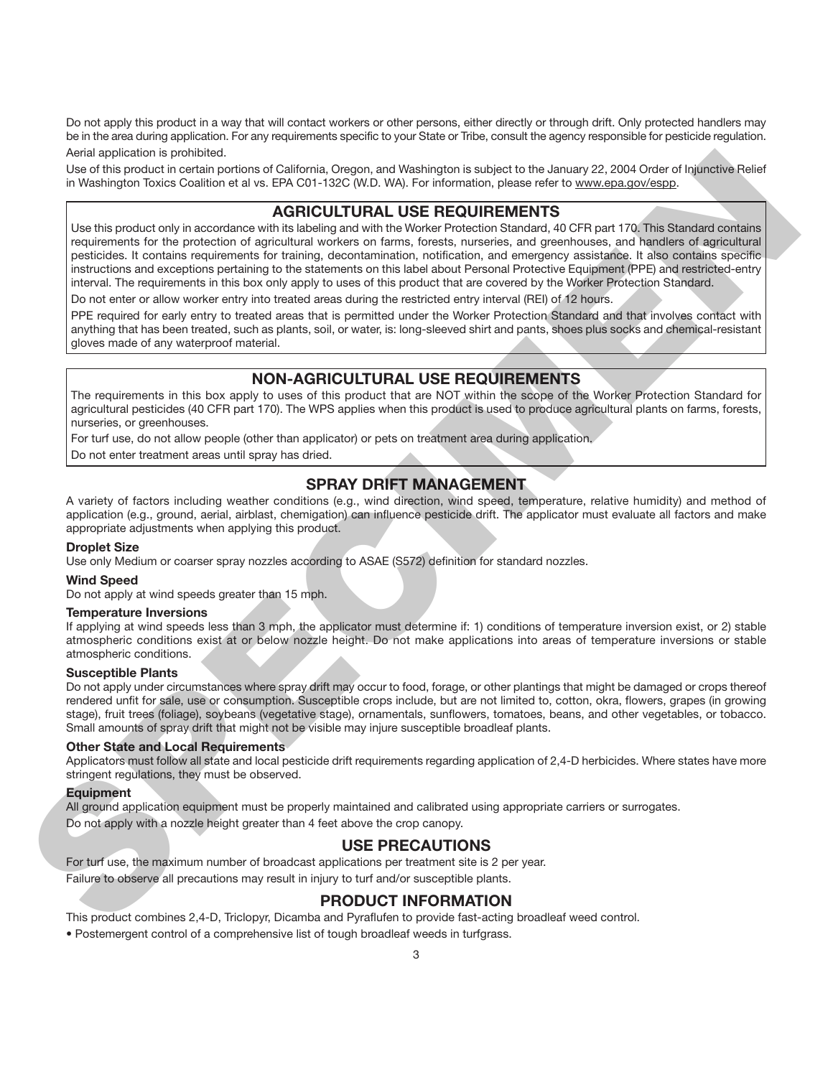Do not apply this product in a way that will contact workers or other persons, either directly or through drift. Only protected handlers may be in the area during application. For any requirements specific to your State or Tribe, consult the agency responsible for pesticide regulation. Aerial application is prohibited.

Use of this product in certain portions of California, Oregon, and Washington is subject to the January 22, 2004 Order of Injunctive Relief in Washington Toxics Coalition et al vs. EPA C01-132C (W.D. WA). For information, please refer to www.epa.gov/espp.

# **AGRICULTURAL USE REQUIREMENTS**

Use this product only in accordance with its labeling and with the Worker Protection Standard, 40 CFR part 170. This Standard contains requirements for the protection of agricultural workers on farms, forests, nurseries, and greenhouses, and handlers of agricultural pesticides. It contains requirements for training, decontamination, notification, and emergency assistance. It also contains specific instructions and exceptions pertaining to the statements on this label about Personal Protective Equipment (PPE) and restricted-entry interval. The requirements in this box only apply to uses of this product that are covered by the Worker Protection Standard. And a spleake is provided. Here is Calciotto 2000, one was the response to a small projection of the spleake of the spleake is the content of the spleake is the spleake of the spleake is the spleake of the spleake is the

Do not enter or allow worker entry into treated areas during the restricted entry interval (REI) of 12 hours.

PPE required for early entry to treated areas that is permitted under the Worker Protection Standard and that involves contact with anything that has been treated, such as plants, soil, or water, is: long-sleeved shirt and pants, shoes plus socks and chemical-resistant gloves made of any waterproof material.

# **NON-AGRICULTURAL USE REQUIREMENTS**

The requirements in this box apply to uses of this product that are NOT within the scope of the Worker Protection Standard for agricultural pesticides (40 CFR part 170). The WPS applies when this product is used to produce agricultural plants on farms, forests, nurseries, or greenhouses.

For turf use, do not allow people (other than applicator) or pets on treatment area during application.

Do not enter treatment areas until spray has dried.

# **SPRAY DRIFT MANAGEMENT**

A variety of factors including weather conditions (e.g., wind direction, wind speed, temperature, relative humidity) and method of application (e.g., ground, aerial, airblast, chemigation) can influence pesticide drift. The applicator must evaluate all factors and make appropriate adjustments when applying this product.

#### **Droplet Size**

Use only Medium or coarser spray nozzles according to ASAE (S572) definition for standard nozzles.

#### **Wind Speed**

Do not apply at wind speeds greater than 15 mph.

#### **Temperature Inversions**

If applying at wind speeds less than 3 mph, the applicator must determine if: 1) conditions of temperature inversion exist, or 2) stable atmospheric conditions exist at or below nozzle height. Do not make applications into areas of temperature inversions or stable atmospheric conditions.

#### **Susceptible Plants**

Do not apply under circumstances where spray drift may occur to food, forage, or other plantings that might be damaged or crops thereof rendered unfit for sale, use or consumption. Susceptible crops include, but are not limited to, cotton, okra, flowers, grapes (in growing stage), fruit trees (foliage), soybeans (vegetative stage), ornamentals, sunflowers, tomatoes, beans, and other vegetables, or tobacco. Small amounts of spray drift that might not be visible may injure susceptible broadleaf plants.

#### **Other State and Local Requirements**

Applicators must follow all state and local pesticide drift requirements regarding application of 2,4-D herbicides. Where states have more stringent regulations, they must be observed.

#### **Equipment**

All ground application equipment must be properly maintained and calibrated using appropriate carriers or surrogates.

Do not apply with a nozzle height greater than 4 feet above the crop canopy.

# **USE PRECAUTIONS**

For turf use, the maximum number of broadcast applications per treatment site is 2 per year. Failure to observe all precautions may result in injury to turf and/or susceptible plants.

# **PRODUCT INFORMATION**

This product combines 2,4-D, Triclopyr, Dicamba and Pyraflufen to provide fast-acting broadleaf weed control.

• Postemergent control of a comprehensive list of tough broadleaf weeds in turfgrass.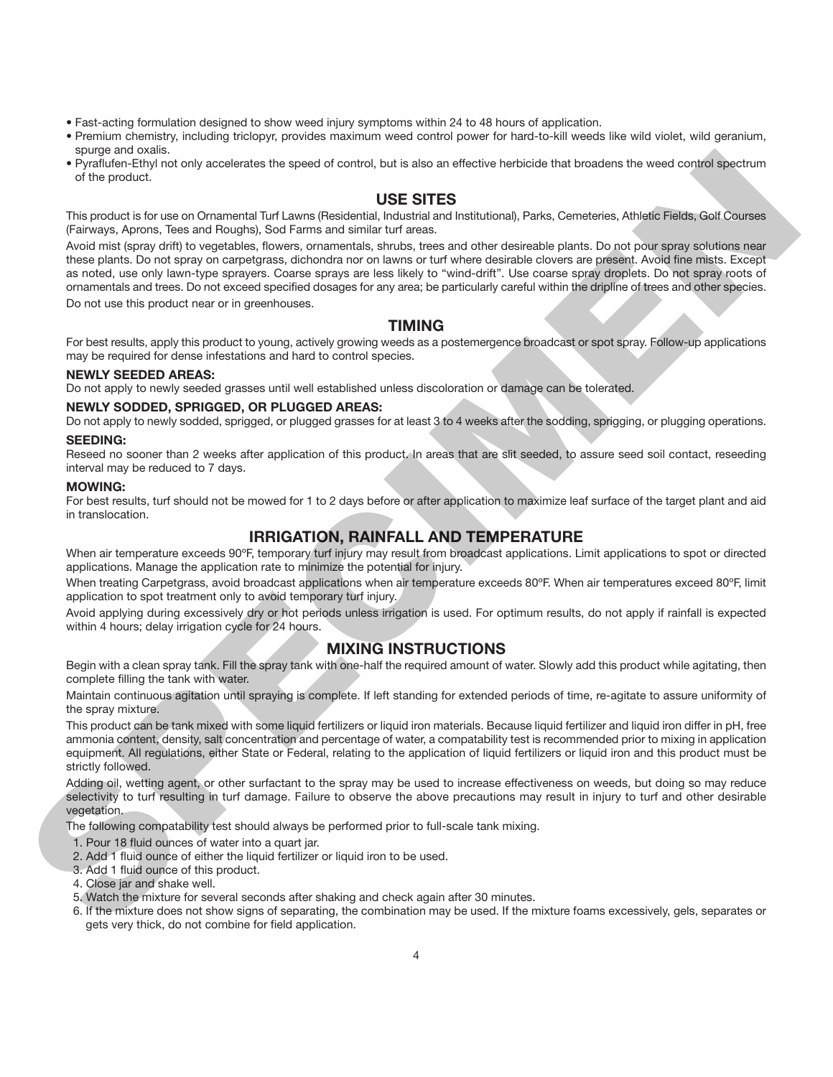- Fast-acting formulation designed to show weed injury symptoms within 24 to 48 hours of application.
- Premium chemistry, including triclopyr, provides maximum weed control power for hard-to-kill weeds like wild violet, wild geranium, spurge and oxalis.
- Pyraflufen-Ethyl not only accelerates the speed of control, but is also an effective herbicide that broadens the weed control spectrum of the product.

## **USE SITES**

This product is for use on Ornamental Turf Lawns (Residential, Industrial and Institutional), Parks, Cemeteries, Athletic Fields, Golf Courses (Fairways, Aprons, Tees and Roughs), Sod Farms and similar turf areas.

Avoid mist (spray drift) to vegetables, flowers, ornamentals, shrubs, trees and other desireable plants. Do not pour spray solutions near these plants. Do not spray on carpetgrass, dichondra nor on lawns or turf where desirable clovers are present. Avoid fine mists. Except as noted, use only lawn-type sprayers. Coarse sprays are less likely to "wind-drift". Use coarse spray droplets. Do not spray roots of ornamentals and trees. Do not exceed specified dosages for any area; be particularly careful within the dripline of trees and other species. The mean of the vector of the state of the state of the side in which should be to consider the wall control in the state of the state of the state of the state of the state of the state of the state of the state of the st

Do not use this product near or in greenhouses.

# **TIMING**

For best results, apply this product to young, actively growing weeds as a postemergence broadcast or spot spray. Follow-up applications may be required for dense infestations and hard to control species.

#### **NEWLY SEEDED AREAS:**

Do not apply to newly seeded grasses until well established unless discoloration or damage can be tolerated.

#### **NEWLY SODDED, SPRIGGED, OR PLUGGED AREAS:**

Do not apply to newly sodded, sprigged, or plugged grasses for at least 3 to 4 weeks after the sodding, sprigging, or plugging operations. **SEEDING:**

Reseed no sooner than 2 weeks after application of this product. In areas that are slit seeded, to assure seed soil contact, reseeding interval may be reduced to 7 days.

#### **MOWING:**

For best results, turf should not be mowed for 1 to 2 days before or after application to maximize leaf surface of the target plant and aid in translocation.

## **IRRIGATION, RAINFALL AND TEMPERATURE**

When air temperature exceeds 90°F, temporary turf injury may result from broadcast applications. Limit applications to spot or directed applications. Manage the application rate to minimize the potential for injury.

When treating Carpetgrass, avoid broadcast applications when air temperature exceeds 80°F. When air temperatures exceed 80°F, limit application to spot treatment only to avoid temporary turf injury.

Avoid applying during excessively dry or hot periods unless irrigation is used. For optimum results, do not apply if rainfall is expected within 4 hours; delay irrigation cycle for 24 hours.

#### **MIXING INSTRUCTIONS**

Begin with a clean spray tank. Fill the spray tank with one-half the required amount of water. Slowly add this product while agitating, then complete filling the tank with water.

Maintain continuous agitation until spraying is complete. If left standing for extended periods of time, re-agitate to assure uniformity of the spray mixture.

This product can be tank mixed with some liquid fertilizers or liquid iron materials. Because liquid fertilizer and liquid iron differ in pH, free ammonia content, density, salt concentration and percentage of water, a compatability test is recommended prior to mixing in application equipment. All regulations, either State or Federal, relating to the application of liquid fertilizers or liquid iron and this product must be strictly followed.

Adding oil, wetting agent, or other surfactant to the spray may be used to increase effectiveness on weeds, but doing so may reduce selectivity to turf resulting in turf damage. Failure to observe the above precautions may result in injury to turf and other desirable vegetation.

The following compatability test should always be performed prior to full-scale tank mixing.

- 1. Pour 18 fluid ounces of water into a quart jar.
- 2. Add 1 fluid ounce of either the liquid fertilizer or liquid iron to be used.
- 3. Add 1 fluid ounce of this product.
- 4. Close jar and shake well.
- 5. Watch the mixture for several seconds after shaking and check again after 30 minutes.
- 6. If the mixture does not show signs of separating, the combination may be used. If the mixture foams excessively, gels, separates or gets very thick, do not combine for field application.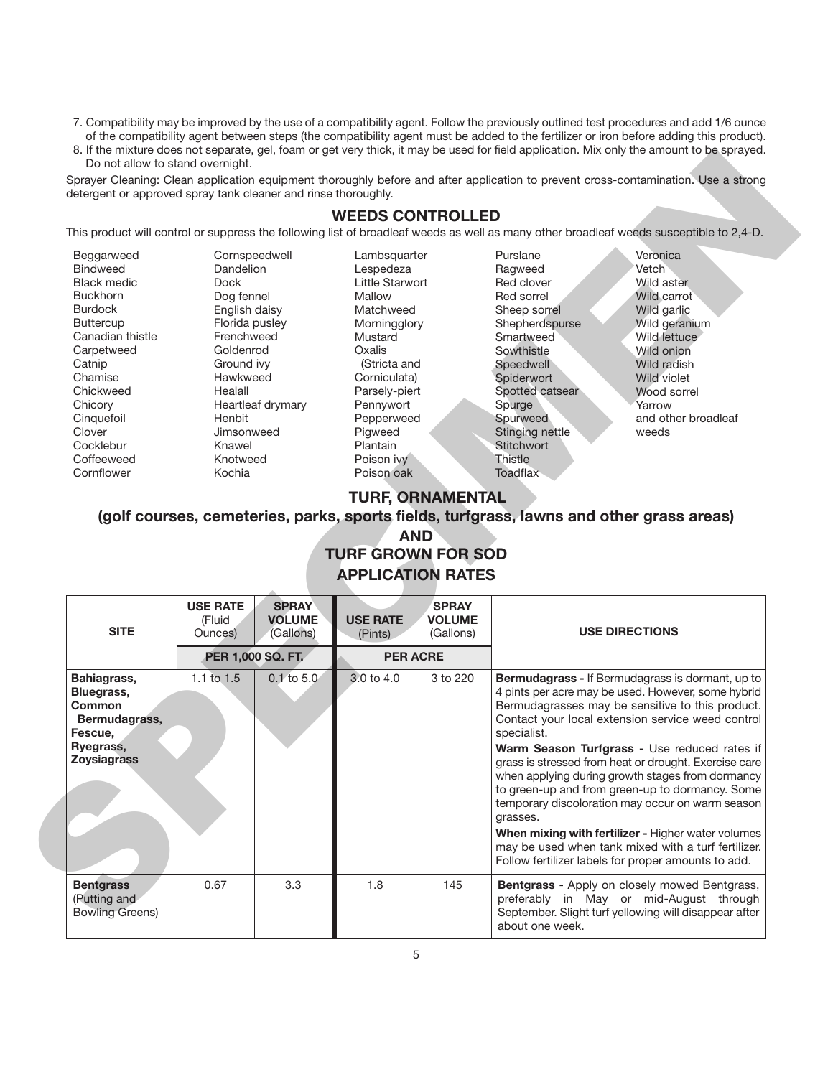- 7. Compatibility may be improved by the use of a compatibility agent. Follow the previously outlined test procedures and add 1/6 ounce of the compatibility agent between steps (the compatibility agent must be added to the fertilizer or iron before adding this product).
- 8. If the mixture does not separate, gel, foam or get very thick, it may be used for field application. Mix only the amount to be sprayed. Do not allow to stand overnight.

### **WEEDS CONTROLLED**

| Beggarweed       | Cornspeedwell     |
|------------------|-------------------|
| <b>Bindweed</b>  | Dandelion         |
| Black medic      | Dock              |
| <b>Buckhorn</b>  | Dog fennel        |
| <b>Burdock</b>   | English daisy     |
| <b>Buttercup</b> | Florida pusley    |
| Canadian thistle | Frenchweed        |
| Carpetweed       | Goldenrod         |
| Catnip           | Ground ivy        |
| Chamise          | Hawkweed          |
| Chickweed        | Healall           |
| Chicory          | Heartleaf drymary |
| Cinquefoil       | Henbit            |
| Clover           | Jimsonweed        |
| Cocklebur        | Knawel            |
| Coffeeweed       | Knotweed          |
| Cornflower       | Kochia            |

# **TURF, ORNAMENTAL**

# **AND TURF GROWN FOR SOD APPLICATION RATES**

| detergent or approved spray tank cleaner and rinse thoroughly.                                                                                                                                                                                 |                                                                                                                                                                                                                               |                                            |                                                                                                                                                                                                                           |                                            |                                                                                                                                                                                                                              |                                                                                                                                                                                                                                                                                                                                                                                                                                                                                                                                                                                                                                                         |
|------------------------------------------------------------------------------------------------------------------------------------------------------------------------------------------------------------------------------------------------|-------------------------------------------------------------------------------------------------------------------------------------------------------------------------------------------------------------------------------|--------------------------------------------|---------------------------------------------------------------------------------------------------------------------------------------------------------------------------------------------------------------------------|--------------------------------------------|------------------------------------------------------------------------------------------------------------------------------------------------------------------------------------------------------------------------------|---------------------------------------------------------------------------------------------------------------------------------------------------------------------------------------------------------------------------------------------------------------------------------------------------------------------------------------------------------------------------------------------------------------------------------------------------------------------------------------------------------------------------------------------------------------------------------------------------------------------------------------------------------|
|                                                                                                                                                                                                                                                |                                                                                                                                                                                                                               |                                            | <b>WEEDS CONTROLLED</b>                                                                                                                                                                                                   |                                            |                                                                                                                                                                                                                              |                                                                                                                                                                                                                                                                                                                                                                                                                                                                                                                                                                                                                                                         |
|                                                                                                                                                                                                                                                |                                                                                                                                                                                                                               |                                            |                                                                                                                                                                                                                           |                                            |                                                                                                                                                                                                                              | This product will control or suppress the following list of broadleaf weeds as well as many other broadleaf weeds susceptible to 2,4-D.                                                                                                                                                                                                                                                                                                                                                                                                                                                                                                                 |
| Beggarweed<br><b>Bindweed</b><br><b>Black medic</b><br><b>Buckhorn</b><br><b>Burdock</b><br><b>Buttercup</b><br>Canadian thistle<br>Carpetweed<br>Catnip<br>Chamise<br>Chickweed<br>Chicory<br>Cinquefoil<br>Clover<br>Cocklebur<br>Coffeeweed | Cornspeedwell<br>Dandelion<br><b>Dock</b><br>Dog fennel<br>English daisy<br>Florida pusley<br>Frenchweed<br>Goldenrod<br>Ground ivy<br>Hawkweed<br>Healall<br>Heartleaf drymary<br>Henbit<br>Jimsonweed<br>Knawel<br>Knotweed |                                            | Lambsquarter<br>Lespedeza<br>Little Starwort<br>Mallow<br>Matchweed<br>Morningglory<br>Mustard<br>Oxalis<br>(Stricta and<br>Corniculata)<br>Parsely-piert<br>Pennywort<br>Pepperweed<br>Pigweed<br>Plantain<br>Poison ivy |                                            | Purslane<br>Ragweed<br>Red clover<br>Red sorrel<br>Sheep sorrel<br>Shepherdspurse<br>Smartweed<br>Sowthistle<br>Speedwell<br>Spiderwort<br>Spotted catsear<br>Spurge<br>Spurweed<br>Stinging nettle<br>Stitchwort<br>Thistle | Veronica<br>Vetch<br>Wild aster<br>Wild carrot<br>Wild garlic<br>Wild geranium<br>Wild lettuce<br>Wild onion<br>Wild radish<br><b>Wild violet</b><br>Wood sorrel<br>Yarrow<br>and other broadleaf<br>weeds                                                                                                                                                                                                                                                                                                                                                                                                                                              |
| Cornflower                                                                                                                                                                                                                                     | Kochia                                                                                                                                                                                                                        |                                            | Poison oak                                                                                                                                                                                                                |                                            | Toadflax                                                                                                                                                                                                                     |                                                                                                                                                                                                                                                                                                                                                                                                                                                                                                                                                                                                                                                         |
|                                                                                                                                                                                                                                                |                                                                                                                                                                                                                               |                                            | <b>TURF GROWN FOR SOD</b>                                                                                                                                                                                                 | <b>AND</b>                                 | (golf courses, cemeteries, parks, sports fields, turfgrass, lawns and other grass areas)                                                                                                                                     |                                                                                                                                                                                                                                                                                                                                                                                                                                                                                                                                                                                                                                                         |
| <b>SITE</b>                                                                                                                                                                                                                                    | <b>USE RATE</b><br>(Fluid<br>Ounces)                                                                                                                                                                                          | <b>SPRAY</b><br><b>VOLUME</b><br>(Gallons) | <b>APPLICATION RATES</b><br><b>USE RATE</b><br>(Pints)                                                                                                                                                                    | <b>SPRAY</b><br><b>VOLUME</b><br>(Gallons) |                                                                                                                                                                                                                              | <b>USE DIRECTIONS</b>                                                                                                                                                                                                                                                                                                                                                                                                                                                                                                                                                                                                                                   |
|                                                                                                                                                                                                                                                |                                                                                                                                                                                                                               |                                            |                                                                                                                                                                                                                           | <b>PER ACRE</b>                            |                                                                                                                                                                                                                              |                                                                                                                                                                                                                                                                                                                                                                                                                                                                                                                                                                                                                                                         |
| Bahiagrass,<br>Bluegrass,<br><b>Common</b><br>Bermudagrass,<br>Fescue,<br>Ryegrass,<br><b>Zoysiagrass</b>                                                                                                                                      | 1.1 to 1.5                                                                                                                                                                                                                    | PER 1,000 SQ. FT.<br>$0.1$ to $5.0$        | 3.0 to 4.0                                                                                                                                                                                                                | 3 to 220                                   | specialist.<br>grasses.                                                                                                                                                                                                      | Bermudagrass - If Bermudagrass is dormant, up to<br>4 pints per acre may be used. However, some hybrid<br>Bermudagrasses may be sensitive to this product.<br>Contact your local extension service weed control<br>Warm Season Turfgrass - Use reduced rates if<br>grass is stressed from heat or drought. Exercise care<br>when applying during growth stages from dormancy<br>to green-up and from green-up to dormancy. Some<br>temporary discoloration may occur on warm season<br>When mixing with fertilizer - Higher water volumes<br>may be used when tank mixed with a turf fertilizer.<br>Follow fertilizer labels for proper amounts to add. |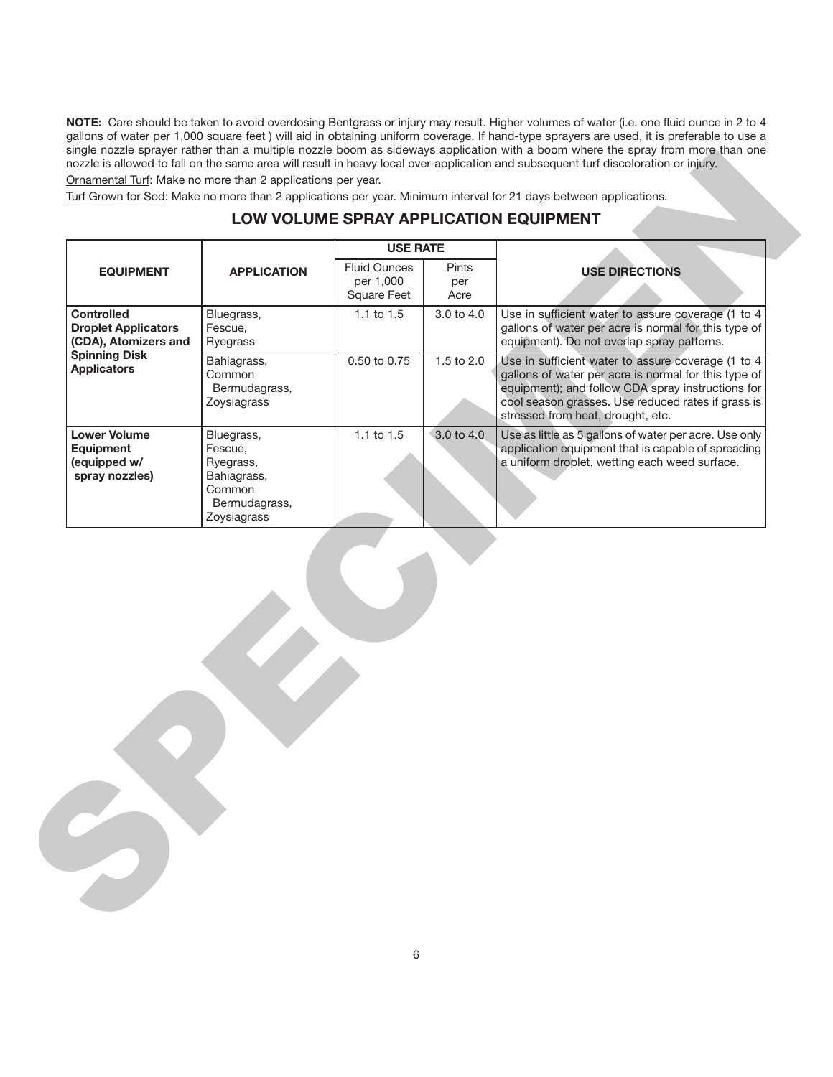**NOTE:** Care should be taken to avoid overdosing Bentgrass or injury may result. Higher volumes of water (i.e. one fluid ounce in 2 to 4 gallons of water per 1,000 square feet ) will aid in obtaining uniform coverage. If hand-type sprayers are used, it is preferable to use a single nozzle sprayer rather than a multiple nozzle boom as sideways application with a boom where the spray from more than one nozzle is allowed to fall on the same area will result in heavy local over-application and subsequent turf discoloration or injury. Ornamental Turf: Make no more than 2 applications per year.

# **LOW VOLUME SPRAY APPLICATION EQUIPMENT**

|                                                                                                                       |                                                                                             |                                                 |                             | LOW VOLUME SPRAY APPLICATION EQUIPMENT                                                                                                                                                                                                                     |
|-----------------------------------------------------------------------------------------------------------------------|---------------------------------------------------------------------------------------------|-------------------------------------------------|-----------------------------|------------------------------------------------------------------------------------------------------------------------------------------------------------------------------------------------------------------------------------------------------------|
|                                                                                                                       |                                                                                             | <b>USE RATE</b>                                 |                             |                                                                                                                                                                                                                                                            |
| <b>EQUIPMENT</b>                                                                                                      | <b>APPLICATION</b>                                                                          | <b>Fluid Ounces</b><br>per 1,000<br>Square Feet | <b>Pints</b><br>per<br>Acre | <b>USE DIRECTIONS</b>                                                                                                                                                                                                                                      |
| <b>Controlled</b><br><b>Droplet Applicators</b><br>(CDA), Atomizers and<br><b>Spinning Disk</b><br><b>Applicators</b> | Bluegrass,<br>Fescue,<br>Ryegrass                                                           | 1.1 to 1.5                                      | 3.0 to 4.0                  | Use in sufficient water to assure coverage (1 to 4<br>gallons of water per acre is normal for this type of<br>equipment). Do not overlap spray patterns.                                                                                                   |
|                                                                                                                       | Bahiagrass,<br>Common<br>Bermudagrass,<br>Zoysiagrass                                       | 0.50 to 0.75                                    | 1.5 to 2.0                  | Use in sufficient water to assure coverage (1 to 4<br>gallons of water per acre is normal for this type of<br>equipment); and follow CDA spray instructions for<br>cool season grasses. Use reduced rates if grass is<br>stressed from heat, drought, etc. |
| <b>Lower Volume</b><br>Equipment<br>(equipped w/<br>spray nozzles)                                                    | Bluegrass,<br>Fescue,<br>Ryegrass,<br>Bahiagrass,<br>Common<br>Bermudagrass,<br>Zoysiagrass | 1.1 to 1.5                                      | 3.0 to 4.0                  | Use as little as 5 gallons of water per acre. Use only<br>application equipment that is capable of spreading<br>a uniform droplet, wetting each weed surface.                                                                                              |
|                                                                                                                       |                                                                                             |                                                 |                             |                                                                                                                                                                                                                                                            |
|                                                                                                                       |                                                                                             |                                                 |                             |                                                                                                                                                                                                                                                            |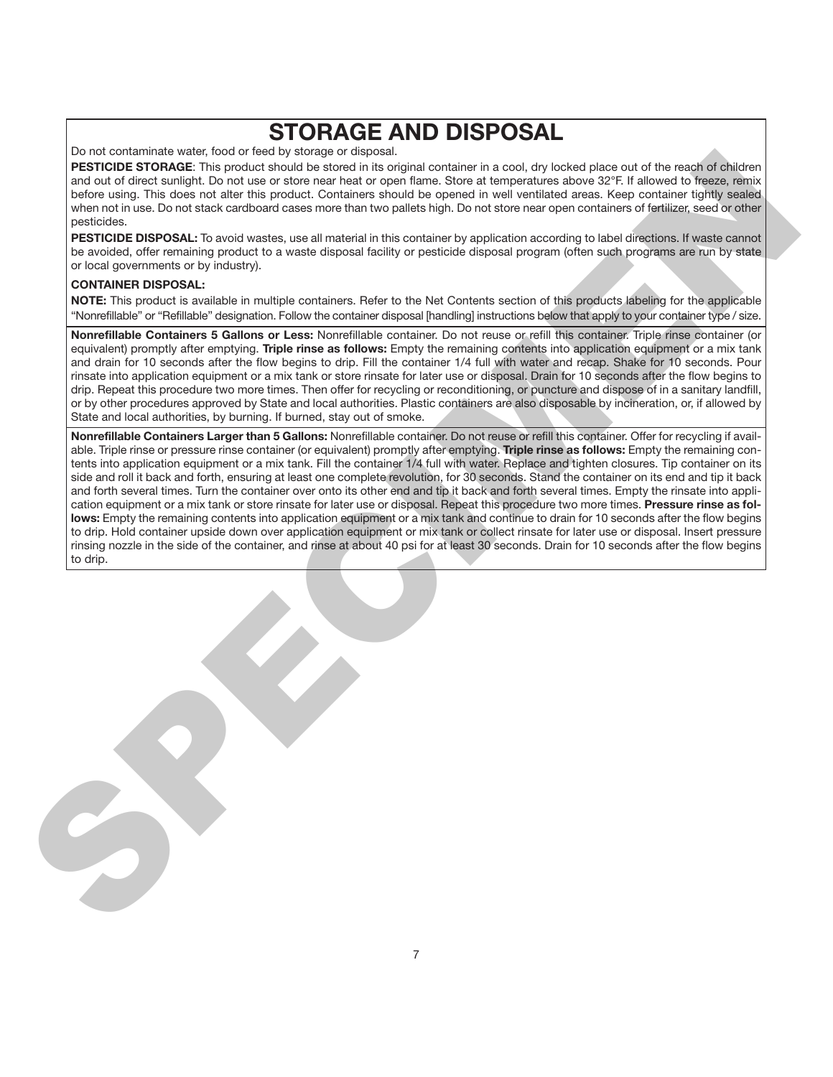# **STORAGE AND DISPOSAL**

Do not contaminate water, food or feed by storage or disposal.

**PESTICIDE STORAGE**: This product should be stored in its original container in a cool, dry locked place out of the reach of children and out of direct sunlight. Do not use or store near heat or open flame. Store at temperatures above 32°F. If allowed to freeze, remix before using. This does not alter this product. Containers should be opened in well ventilated areas. Keep container tightly sealed when not in use. Do not stack cardboard cases more than two pallets high. Do not store near open containers of fertilizer, seed or other pesticides.

**PESTICIDE DISPOSAL:** To avoid wastes, use all material in this container by application according to label directions. If waste cannot be avoided, offer remaining product to a waste disposal facility or pesticide disposal program (often such programs are run by state or local governments or by industry).

#### **CONTAINER DISPOSAL:**

**NOTE:** This product is available in multiple containers. Refer to the Net Contents section of this products labeling for the applicable "Nonrefillable" or "Refillable" designation. Follow the container disposal [handling] instructions below that apply to your container type / size.

**Nonrefillable Containers 5 Gallons or Less:** Nonrefillable container. Do not reuse or refill this container. Triple rinse container (or equivalent) promptly after emptying. **Triple rinse as follows:** Empty the remaining contents into application equipment or a mix tank and drain for 10 seconds after the flow begins to drip. Fill the container 1/4 full with water and recap. Shake for 10 seconds. Pour rinsate into application equipment or a mix tank or store rinsate for later use or disposal. Drain for 10 seconds after the flow begins to drip. Repeat this procedure two more times. Then offer for recycling or reconditioning, or puncture and dispose of in a sanitary landfill, or by other procedures approved by State and local authorities. Plastic containers are also disposable by incineration, or, if allowed by State and local authorities, by burning. If burned, stay out of smoke.

**Nonrefillable Containers Larger than 5 Gallons:** Nonrefillable container. Do not reuse or refill this container. Offer for recycling if available. Triple rinse or pressure rinse container (or equivalent) promptly after emptying. **Triple rinse as follows:** Empty the remaining contents into application equipment or a mix tank. Fill the container 1/4 full with water. Replace and tighten closures. Tip container on its side and roll it back and forth, ensuring at least one complete revolution, for 30 seconds. Stand the container on its end and tip it back and forth several times. Turn the container over onto its other end and tip it back and forth several times. Empty the rinsate into application equipment or a mix tank or store rinsate for later use or disposal. Repeat this procedure two more times. **Pressure rinse as follows:** Empty the remaining contents into application equipment or a mix tank and continue to drain for 10 seconds after the flow begins to drip. Hold container upside down over application equipment or mix tank or collect rinsate for later use or disposal. Insert pressure rinsing nozzle in the side of the container, and rinse at about 40 psi for at least 30 seconds. Drain for 10 seconds after the flow begins to drip. SPECIFIC CONTRACT CONTRACT CONTRACT CONTRACT CONTRACT CONTRACT CONTRACT CONTRACT CONTRACT CONTRACT CONTRACT CONTRACT CONTRACT CONTRACT CONTRACT CONTRACT CONTRACT CONTRACT CONTRACT CONTRACT CONTRACT CONTRACT CONTRACT CONTR